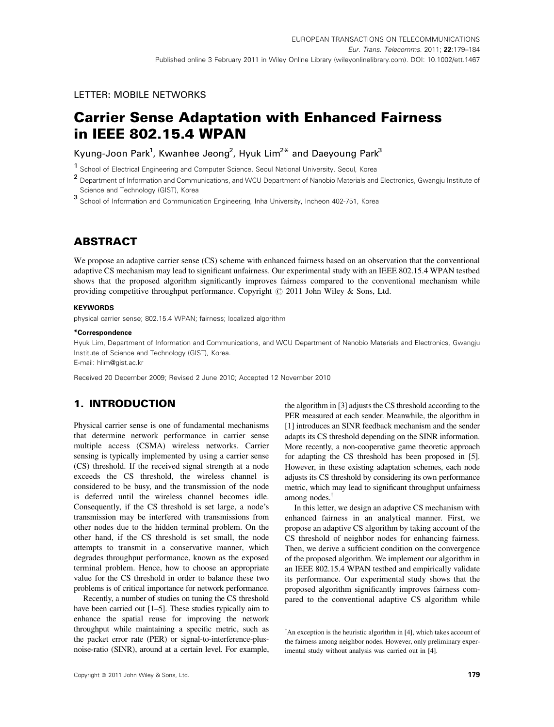# LETTER: MOBILE NETWORKS

# Carrier Sense Adaptation with Enhanced Fairness in IEEE 802.15.4 WPAN

Kyung-Joon Park<sup>1</sup>, Kwanhee Jeong<sup>2</sup>, Hyuk Lim<sup>2\*</sup> and Daeyoung Park<sup>3</sup>

<sup>1</sup> School of Electrical Engineering and Computer Science, Seoul National University, Seoul, Korea

2 Department of Information and Communications, and WCU Department of Nanobio Materials and Electronics, Gwangju Institute of Science and Technology (GIST), Korea

<sup>3</sup> School of Information and Communication Engineering, Inha University, Incheon 402-751, Korea

# **ABSTRACT**

We propose an adaptive carrier sense (CS) scheme with enhanced fairness based on an observation that the conventional adaptive CS mechanism may lead to significant unfairness. Our experimental study with an IEEE 802.15.4 WPAN testbed shows that the proposed algorithm significantly improves fairness compared to the conventional mechanism while providing competitive throughput performance. Copyright  $\oslash$  2011 John Wiley & Sons, Ltd.

#### **KEYWORDS**

physical carrier sense; 802.15.4 WPAN; fairness; localized algorithm

#### \*Correspondence

Hyuk Lim, Department of Information and Communications, and WCU Department of Nanobio Materials and Electronics, Gwangju Institute of Science and Technology (GIST), Korea.

E-mail: hlim@gist.ac.kr

Received 20 December 2009; Revised 2 June 2010; Accepted 12 November 2010

# 1. INTRODUCTION

Physical carrier sense is one of fundamental mechanisms that determine network performance in carrier sense multiple access (CSMA) wireless networks. Carrier sensing is typically implemented by using a carrier sense (CS) threshold. If the received signal strength at a node exceeds the CS threshold, the wireless channel is considered to be busy, and the transmission of the node is deferred until the wireless channel becomes idle. Consequently, if the CS threshold is set large, a node's transmission may be interfered with transmissions from other nodes due to the hidden terminal problem. On the other hand, if the CS threshold is set small, the node attempts to transmit in a conservative manner, which degrades throughput performance, known as the exposed terminal problem. Hence, how to choose an appropriate value for the CS threshold in order to balance these two problems is of critical importance for network performance.

Recently, a number of studies on tuning the CS threshold have been carried out [1–5]. These studies typically aim to enhance the spatial reuse for improving the network throughput while maintaining a specific metric, such as the packet error rate (PER) or signal-to-interference-plusnoise-ratio (SINR), around at a certain level. For example, the algorithm in [3] adjusts the CS threshold according to the PER measured at each sender. Meanwhile, the algorithm in [1] introduces an SINR feedback mechanism and the sender adapts its CS threshold depending on the SINR information. More recently, a non-cooperative game theoretic approach for adapting the CS threshold has been proposed in [5]. However, in these existing adaptation schemes, each node adjusts its CS threshold by considering its own performance metric, which may lead to significant throughput unfairness among nodes. $<sup>†</sup>$ </sup>

In this letter, we design an adaptive CS mechanism with enhanced fairness in an analytical manner. First, we propose an adaptive CS algorithm by taking account of the CS threshold of neighbor nodes for enhancing fairness. Then, we derive a sufficient condition on the convergence of the proposed algorithm. We implement our algorithm in an IEEE 802.15.4 WPAN testbed and empirically validate its performance. Our experimental study shows that the proposed algorithm significantly improves fairness compared to the conventional adaptive CS algorithm while

 $\dagger$ An exception is the heuristic algorithm in [4], which takes account of the fairness among neighbor nodes. However, only preliminary experimental study without analysis was carried out in [4].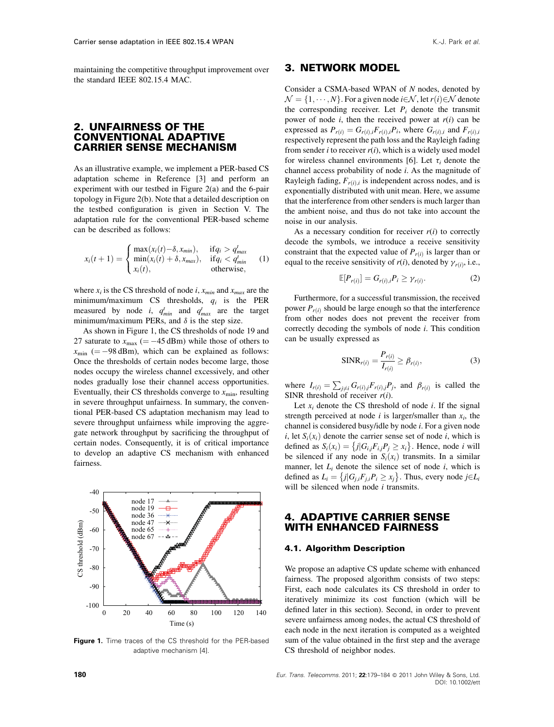maintaining the competitive throughput improvement over the standard IEEE 802.15.4 MAC.

# 2. UNFAIRNESS OF THE CONVENTIONAL ADAPTIVE CARRIER SENSE MECHANISM

As an illustrative example, we implement a PER-based CS adaptation scheme in Reference [3] and perform an experiment with our testbed in Figure 2(a) and the 6-pair topology in Figure 2(b). Note that a detailed description on the testbed configuration is given in Section V. The adaptation rule for the conventional PER-based scheme can be described as follows:

$$
x_i(t+1) = \begin{cases} \max(x_i(t) - \delta, x_{min}), & \text{if } q_i > q_{max}^t\\ \min(x_i(t) + \delta, x_{max}), & \text{if } q_i < q_{min}^t\\ x_i(t), & \text{otherwise,} \end{cases} \tag{1}
$$

where  $x_i$  is the CS threshold of node i,  $x_{min}$  and  $x_{max}$  are the minimum/maximum CS thresholds,  $q_i$  is the PER measured by node *i*,  $q_{min}^t$  and  $q_{max}^t$  are the target minimum/maximum PERs, and  $\delta$  is the step size.

As shown in Figure 1, the CS thresholds of node 19 and 27 saturate to  $x_{\text{max}}$  (= -45 dBm) while those of others to  $x_{\text{min}}$  (= -98 dBm), which can be explained as follows: Once the thresholds of certain nodes become large, those nodes occupy the wireless channel excessively, and other nodes gradually lose their channel access opportunities. Eventually, their CS thresholds converge to  $x_{\min}$ , resulting in severe throughput unfairness. In summary, the conventional PER-based CS adaptation mechanism may lead to severe throughput unfairness while improving the aggregate network throughput by sacrificing the throughput of certain nodes. Consequently, it is of critical importance to develop an adaptive CS mechanism with enhanced fairness.



Figure 1. Time traces of the CS threshold for the PER-based adaptive mechanism [4].

# 3. NETWORK MODEL

Consider a CSMA-based WPAN of N nodes, denoted by  $\mathcal{N} = \{1, \cdots, N\}$ . For a given node  $i \in \mathcal{N}$ , let  $r(i) \in \mathcal{N}$  denote the corresponding receiver. Let  $P_i$  denote the transmit power of node  $i$ , then the received power at  $r(i)$  can be expressed as  $P_{r(i)} = G_{r(i),i}F_{r(i),i}P_i$ , where  $G_{r(i),i}$  and  $F_{r(i),i}$ respectively represent the path loss and the Rayleigh fading from sender *i* to receiver  $r(i)$ , which is a widely used model for wireless channel environments [6]. Let  $\tau_i$  denote the channel access probability of node i. As the magnitude of Rayleigh fading,  $F_{r(i),i}$  is independent across nodes, and is exponentially distributed with unit mean. Here, we assume that the interference from other senders is much larger than the ambient noise, and thus do not take into account the noise in our analysis.

As a necessary condition for receiver  $r(i)$  to correctly decode the symbols, we introduce a receive sensitivity constraint that the expected value of  $P_{r(i)}$  is larger than or equal to the receive sensitivity of  $r(i)$ , denoted by  $\gamma_{r(i)}$ , i.e.,

$$
\mathbb{E}[P_{r(i)}] = G_{r(i),i} P_i \ge \gamma_{r(i)}.\tag{2}
$$

Furthermore, for a successful transmission, the received power  $P_{r(i)}$  should be large enough so that the interference from other nodes does not prevent the receiver from correctly decoding the symbols of node  $i$ . This condition can be usually expressed as

$$
\text{SINR}_{r(i)} = \frac{P_{r(i)}}{I_{r(i)}} \ge \beta_{r(i)},\tag{3}
$$

where  $I_{r(i)} = \sum_{j \neq i} G_{r(i),j} F_{r(i),j} P_j$ , and  $\beta_{r(i)}$  is called the SINR threshold of receiver  $r(i)$ .

Let  $x_i$  denote the CS threshold of node *i*. If the signal strength perceived at node  $i$  is larger/smaller than  $x_i$ , the channel is considered busy/idle by node i. For a given node i, let  $S_i(x_i)$  denote the carrier sense set of node i, which is defined as  $S_i(x_i) = \{j | G_{i,j} F_{i,j} P_j \ge x_i\}$ . Hence, node *i* will be silenced if any node in  $S_i(x_i)$  transmits. In a similar manner, let  $L_i$  denote the silence set of node  $i$ , which is defined as  $L_i = \{j | G_{j,i} F_{j,i} P_i \ge x_j\}$ . Thus, every node  $j \in L_i$ will be silenced when node  $i$  transmits.

### 4. ADAPTIVE CARRIER SENSE WITH ENHANCED FAIRNESS

#### 4.1. Algorithm Description

We propose an adaptive CS update scheme with enhanced fairness. The proposed algorithm consists of two steps: First, each node calculates its CS threshold in order to iteratively minimize its cost function (which will be defined later in this section). Second, in order to prevent severe unfairness among nodes, the actual CS threshold of each node in the next iteration is computed as a weighted sum of the value obtained in the first step and the average CS threshold of neighbor nodes.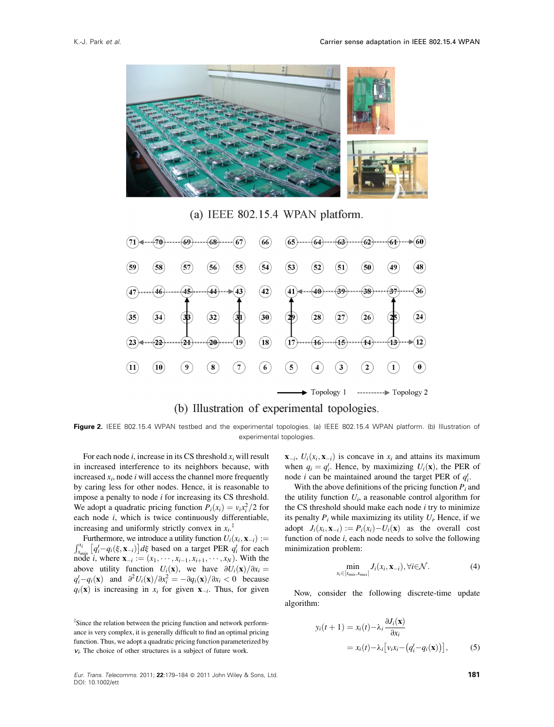

(a) IEEE  $802.15.4$  WPAN platform.



(b) Illustration of experimental topologies.

Figure 2. IEEE 802.15.4 WPAN testbed and the experimental topologies. (a) IEEE 802.15.4 WPAN platform. (b) Illustration of experimental topologies.

For each node i, increase in its CS threshold  $x_i$  will result in increased interference to its neighbors because, with increased  $x_i$ , node *i* will access the channel more frequently by caring less for other nodes. Hence, it is reasonable to impose a penalty to node i for increasing its CS threshold. We adopt a quadratic pricing function  $P_i(x_i) = v_i x_i^2/2$  for each node  $i$ , which is twice continuously differentiable, increasing and uniformly strictly convex in  $x_i$ <sup> $\ddagger$ </sup>

Furthermore, we introduce a utility function  $U_i(x_i, \mathbf{x}_{-i}) :=$  $x_{min}^{x_i} [q_i^t - q_i(\xi, \mathbf{x}_{-i})] d\xi$  based on a target PER  $q_i^t$  for each node *i*, where  $\mathbf{x}_{-i} := (x_1, \dots, x_{i-1}, x_{i+1}, \dots, x_N)$ . With the above utility function  $U_i(\mathbf{x})$ , we have  $\partial U_i(\mathbf{x})/\partial x_i =$  $q_i^t - q_i(\mathbf{x})$  and  $\frac{\partial^2 U_i(\mathbf{x})}{\partial x_i^2} = -\frac{\partial q_i(\mathbf{x})}{\partial x_i} < 0$  because  $q_i(\mathbf{x})$  is increasing in  $x_i$  for given  $\mathbf{x}_{-i}$ . Thus, for given

<sup>‡</sup>Since the relation between the pricing function and network performance is very complex, it is generally difficult to find an optimal pricing function. Thus, we adopt a quadratic pricing function parameterized by  $v_i$ . The choice of other structures is a subject of future work.

 $\mathbf{x}_{-i}$ ,  $U_i(x_i, \mathbf{x}_{-i})$  is concave in  $x_i$  and attains its maximum when  $q_i = q_i^t$ . Hence, by maximizing  $U_i(\mathbf{x})$ , the PER of node *i* can be maintained around the target PER of  $q_i^t$ .

With the above definitions of the pricing function  $P_i$  and the utility function  $U_i$ , a reasonable control algorithm for the CS threshold should make each node  $i$  try to minimize its penalty  $P_i$  while maximizing its utility  $U_i$ . Hence, if we adopt  $J_i(x_i, \mathbf{x}_{-i}) := P_i(x_i) - U_i(\mathbf{x})$  as the overall cost function of node  $i$ , each node needs to solve the following minimization problem:

$$
\min_{x_i \in [x_{min}, x_{max}]} J_i(x_i, \mathbf{x}_{-i}), \forall i \in \mathcal{N}.
$$
 (4)

Now, consider the following discrete-time update algorithm:

$$
y_i(t+1) = x_i(t) - \lambda_i \frac{\partial J_i(\mathbf{x})}{\partial x_i}
$$
  
=  $x_i(t) - \lambda_i [v_i x_i - (q_i^t - q_i(\mathbf{x}))],$  (5)

Eur. Trans. Telecomms. 2011; 22:179-184 @ 2011 John Wiley & Sons, Ltd. DOI: 10.1002/ett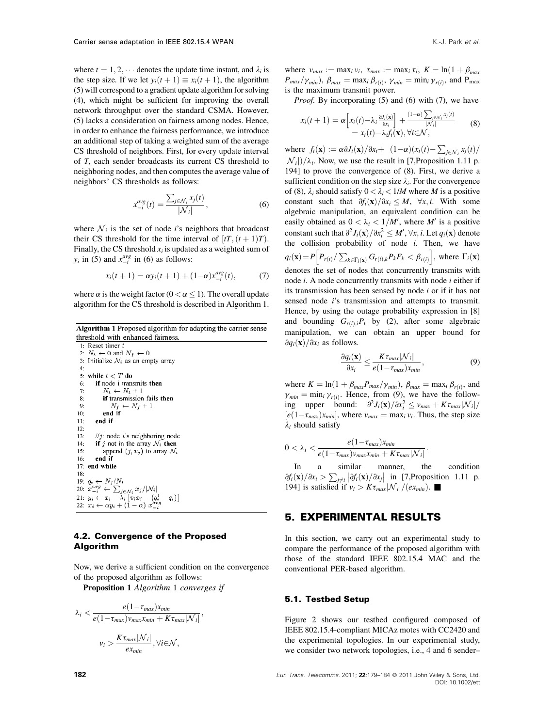where  $t = 1, 2, \cdots$  denotes the update time instant, and  $\lambda_i$  is the step size. If we let  $y_i(t + 1) \equiv x_i(t + 1)$ , the algorithm (5) will correspond to a gradient update algorithm for solving (4), which might be sufficient for improving the overall network throughput over the standard CSMA. However, (5) lacks a consideration on fairness among nodes. Hence, in order to enhance the fairness performance, we introduce an additional step of taking a weighted sum of the average CS threshold of neighbors. First, for every update interval of T, each sender broadcasts its current CS threshold to neighboring nodes, and then computes the average value of neighbors' CS thresholds as follows:

$$
x_{-i}^{avg}(t) = \frac{\sum_{j \in \mathcal{N}_i} x_j(t)}{|\mathcal{N}_i|},\tag{6}
$$

where  $\mathcal{N}_i$  is the set of node *i*'s neighbors that broadcast their CS threshold for the time interval of  $[tT, (t + 1)T)$ . Finally, the CS threshold  $x_i$  is updated as a weighted sum of  $y_i$  in (5) and  $x_{-i}^{avg}$  in (6) as follows:

$$
x_i(t+1) = \alpha y_i(t+1) + (1-\alpha)x_{-i}^{\alpha y} (t), \tag{7}
$$

where  $\alpha$  is the weight factor ( $0 < \alpha \leq 1$ ). The overall update algorithm for the CS threshold is described in Algorithm 1.

Algorithm 1 Proposed algorithm for adapting the carrier sense threshold with enhanced fairness.

1: Reset timer  $t$ 2:  $N_t \leftarrow 0$  and  $N_f \leftarrow 0$ 3: Initialize  $\mathcal{N}_i$  as an empty array  $4:$  $5:$ while  $t < T$  do if node i transmits then  $6<sup>1</sup>$  $N_t \leftarrow N_t + 1$  $7:$ if transmission fails then  $\mathbf{R}$  $N_f \leftarrow N_f + 1$ <br>end if  $Q<sub>2</sub>$  $10<sup>1</sup>$  $11$ end if  $12$  $13:$  $\frac{1}{j}$ : node *i*'s neighboring node if j not in the array  $\mathcal{N}_i$  then  $14:$  $15:$ append  $(j, x_j)$  to array  $\mathcal{N}_i$  $16:$ end if 17: end while  $18:$ 19:  $q_i \leftarrow N_f/N_t$ <br>
20:  $x_{-i}^{\alpha v g} \leftarrow \sum_{j \in \mathcal{N}_i} x_j / |\mathcal{N}_i|$ <br>
21:  $y_i \leftarrow x_i - \lambda_i [v_i x_i - (q_i^t - q_i)]$ <br>
22:  $x_i \leftarrow \alpha y_i + (1 - \alpha) x_{-i}^{\alpha v g}$ 

#### 4.2. Convergence of the Proposed Algorithm

Now, we derive a sufficient condition on the convergence of the proposed algorithm as follows:

Proposition 1 Algorithm *1* converges if

$$
\lambda_i < \frac{e(1-\tau_{max})x_{min}}{e(1-\tau_{max})v_{max}x_{min} + K\tau_{max}|\mathcal{N}_i|},
$$
\n
$$
v_i > \frac{K\tau_{max}|\mathcal{N}_i|}{ex_{min}}, \forall i \in \mathcal{N},
$$

where  $v_{max} := \max_i v_i$ ,  $\tau_{max} := \max_i \tau_i$ ,  $K = \ln(1 + \beta_{max})$  $P_{max}/\gamma_{min}$ ),  $\beta_{max} = \max_i \beta_{r(i)}, \gamma_{min} = \min_i \gamma_{r(i)}$ , and P<sub>max</sub> is the maximum transmit power.

*Proof.* By incorporating (5) and (6) with (7), we have

$$
x_i(t+1) = \alpha \left[ x_i(t) - \lambda_i \frac{\partial J_i(\mathbf{x})}{\partial x_i} \right] + \frac{(1-\alpha) \sum_{j \in \mathcal{N}_i} x_j(t)}{|\mathcal{N}_i|}
$$
  
=  $x_i(t) - \lambda_i f_i(\mathbf{x}), \forall i \in \mathcal{N},$  (8)

where  $f_i(\mathbf{x}) := \alpha \partial J_i(\mathbf{x}) / \partial x_i + (1-\alpha)(x_i(t) - \sum_{j \in \mathcal{N}_i} x_j(t) / \partial x_j)$  $|\mathcal{N}_i|/\lambda_i$ . Now, we use the result in [7,Proposition 1.11 p. 194] to prove the convergence of (8). First, we derive a sufficient condition on the step size  $\lambda_i$ . For the convergence of (8),  $\lambda_i$  should satisfy  $0 < \lambda_i < 1/M$  where M is a positive constant such that  $\partial f_i(\mathbf{x})/\partial x_i \leq M$ ,  $\forall x, i$ . With some algebraic manipulation, an equivalent condition can be easily obtained as  $0 < \lambda_i < 1/M'$ , where M' is a positive constant such that  $\partial^2 J_i(\mathbf{x})/\partial x_i^2 \leq M', \forall x, i$ . Let  $q_i(\mathbf{x})$  denote the collision probability of node  $i$ . Then, we have  $q_i(\mathbf{x}) = P\Big[P_{r(i)}/\sum_{k \in \Gamma_i(\mathbf{x})} G_{r(i),k}P_kF_k < \beta_{r(i)}\Big]$ , where  $\Gamma_i(\mathbf{x})$ denotes the set of nodes that concurrently transmits with node *i*. A node concurrently transmits with node *i* either if its transmission has been sensed by node i or if it has not sensed node *i*'s transmission and attempts to transmit. Hence, by using the outage probability expression in [8] and bounding  $G_{r(i),i}P_i$  by (2), after some algebraic manipulation, we can obtain an upper bound for  $\partial q_i(\mathbf{x})/\partial x_i$  as follows.

$$
\frac{\partial q_i(\mathbf{x})}{\partial x_i} \le \frac{K\tau_{max}|\mathcal{N}_i|}{e(1-\tau_{max})x_{min}},
$$
\n(9)

where  $K = \ln(1 + \beta_{max}P_{max}/\gamma_{min})$ ,  $\beta_{max} = \max_i \beta_{r(i)}$ , and  $\gamma_{min} = \min_i \gamma_{r(i)}$ . Hence, from (9), we have the following upper bound:  $\frac{\partial^2 J_i(\mathbf{x})}{\partial x_i^2} \le v_{max} + K \tau_{max} |\mathcal{N}_i|/$  $[e(1-\tau_{max})x_{min}]$ , where  $v_{max} = \max_i v_i$ . Thus, the step size  $\lambda_i$  should satisfy

$$
0 < \lambda_i < \frac{e(1-\tau_{max})x_{min}}{e(1-\tau_{max})v_{max}x_{min} + K\tau_{max}|\mathcal{N}_i|}.
$$

In a similar manner, the condition  $\partial f_i(\mathbf{x})/\partial x_i > \sum_{j\neq i} |\partial f_i(\mathbf{x})/\partial x_j|$  in [7,Proposition 1.11 p. 194] is satisfied if  $v_i > K \tau_{max} |\mathcal{N}_i|/(e x_{min})$ .

### 5. EXPERIMENTAL RESULTS

In this section, we carry out an experimental study to compare the performance of the proposed algorithm with those of the standard IEEE 802.15.4 MAC and the conventional PER-based algorithm.

#### 5.1. Testbed Setup

Figure 2 shows our testbed configured composed of IEEE 802.15.4-compliant MICAz motes with CC2420 and the experimental topologies. In our experimental study, we consider two network topologies, i.e., 4 and 6 sender–

182 Eur. Trans. Telecomms. 2011; 22:179–184 2011 John Wiley & Sons, Ltd. DOI: 10.1002/ett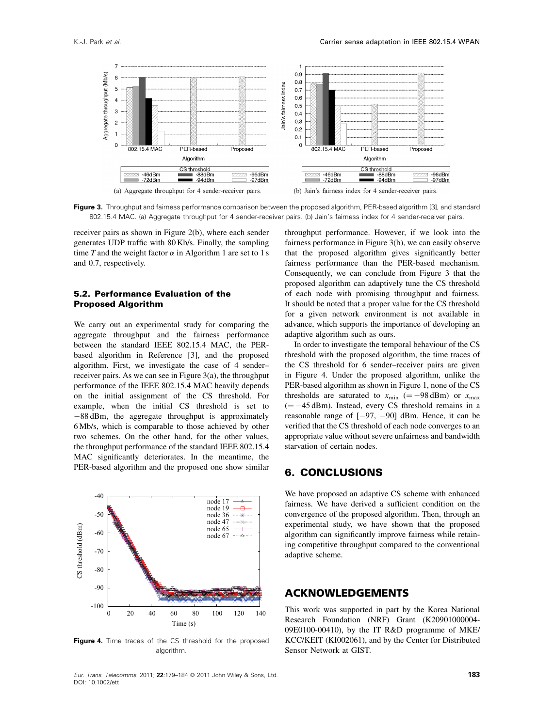

Figure 3. Throughput and fairness performance comparison between the proposed algorithm, PER-based algorithm [3], and standard 802.15.4 MAC. (a) Aggregate throughput for 4 sender-receiver pairs. (b) Jain's fairness index for 4 sender-receiver pairs.

receiver pairs as shown in Figure 2(b), where each sender generates UDP traffic with 80 Kb/s. Finally, the sampling time T and the weight factor  $\alpha$  in Algorithm 1 are set to 1 s and 0.7, respectively.

#### 5.2. Performance Evaluation of the Proposed Algorithm

We carry out an experimental study for comparing the aggregate throughput and the fairness performance between the standard IEEE 802.15.4 MAC, the PERbased algorithm in Reference [3], and the proposed algorithm. First, we investigate the case of 4 sender– receiver pairs. As we can see in Figure 3(a), the throughput performance of the IEEE 802.15.4 MAC heavily depends on the initial assignment of the CS threshold. For example, when the initial CS threshold is set to  $-88$  dBm, the aggregate throughput is approximately 6 Mb/s, which is comparable to those achieved by other two schemes. On the other hand, for the other values, the throughput performance of the standard IEEE 802.15.4 MAC significantly deteriorates. In the meantime, the PER-based algorithm and the proposed one show similar



Figure 4. Time traces of the CS threshold for the proposed algorithm.

Eur. Trans. Telecomms. 2011; 22:179-184 @ 2011 John Wiley & Sons, Ltd. DOI: 10.1002/ett

throughput performance. However, if we look into the fairness performance in Figure 3(b), we can easily observe that the proposed algorithm gives significantly better fairness performance than the PER-based mechanism. Consequently, we can conclude from Figure 3 that the proposed algorithm can adaptively tune the CS threshold of each node with promising throughput and fairness. It should be noted that a proper value for the CS threshold for a given network environment is not available in advance, which supports the importance of developing an adaptive algorithm such as ours.

In order to investigate the temporal behaviour of the CS threshold with the proposed algorithm, the time traces of the CS threshold for 6 sender–receiver pairs are given in Figure 4. Under the proposed algorithm, unlike the PER-based algorithm as shown in Figure 1, none of the CS thresholds are saturated to  $x_{\text{min}}$  (= -98 dBm) or  $x_{\text{max}}$  $(=-45$  dBm). Instead, every CS threshold remains in a reasonable range of  $[-97, -90]$  dBm. Hence, it can be verified that the CS threshold of each node converges to an appropriate value without severe unfairness and bandwidth starvation of certain nodes.

## 6. CONCLUSIONS

We have proposed an adaptive CS scheme with enhanced fairness. We have derived a sufficient condition on the convergence of the proposed algorithm. Then, through an experimental study, we have shown that the proposed algorithm can significantly improve fairness while retaining competitive throughput compared to the conventional adaptive scheme.

# ACKNOWLEDGEMENTS

This work was supported in part by the Korea National Research Foundation (NRF) Grant (K20901000004- 09E0100-00410), by the IT R&D programme of MKE/ KCC/KEIT (KI002061), and by the Center for Distributed Sensor Network at GIST.